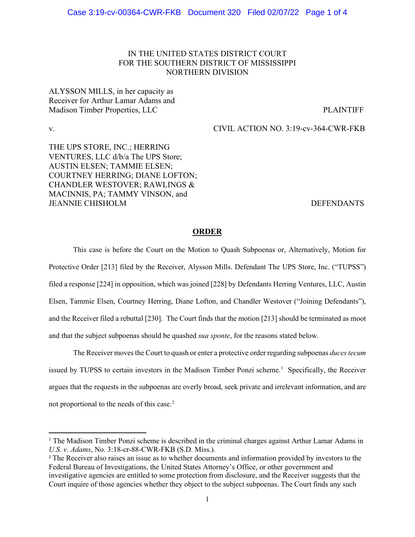## IN THE UNITED STATES DISTRICT COURT FOR THE SOUTHERN DISTRICT OF MISSISSIPPI NORTHERN DIVISION

ALYSSON MILLS, in her capacity as Receiver for Arthur Lamar Adams and Madison Timber Properties, LLC PLAINTIFF

v. CIVIL ACTION NO. 3:19-cv-364-CWR-FKB

THE UPS STORE, INC.; HERRING VENTURES, LLC d/b/a The UPS Store; AUSTIN ELSEN; TAMMIE ELSEN; COURTNEY HERRING; DIANE LOFTON; CHANDLER WESTOVER; RAWLINGS & MACINNIS, PA; TAMMY VINSON, and JEANNIE CHISHOLM DEFENDANTS

### **ORDER**

This case is before the Court on the Motion to Quash Subpoenas or, Alternatively, Motion for Protective Order [213] filed by the Receiver, Alysson Mills. Defendant The UPS Store, Inc. ("TUPSS") filed a response [224] in opposition, which was joined [228] by Defendants Herring Ventures, LLC, Austin Elsen, Tammie Elsen, Courtney Herring, Diane Lofton, and Chandler Westover ("Joining Defendants"), and the Receiver filed a rebuttal [230]. The Court finds that the motion [213] should be terminated as moot and that the subject subpoenas should be quashed *sua sponte*, for the reasons stated below.

The Receiver moves the Court to quash or enter a protective order regarding subpoenas *duces tecum* issued by TUPSS to certain investors in the Madison Timber Ponzi scheme. [1](#page-0-0) Specifically, the Receiver argues that the requests in the subpoenas are overly broad, seek private and irrelevant information, and are not proportional to the needs of this case.[2](#page-0-1)

<span id="page-0-0"></span><sup>1</sup> The Madison Timber Ponzi scheme is described in the criminal charges against Arthur Lamar Adams in *U.S. v. Adams*, No. 3:18-cr-88-CWR-FKB (S.D. Miss.).

<span id="page-0-1"></span><sup>2</sup> The Receiver also raises an issue as to whether documents and information provided by investors to the Federal Bureau of Investigations, the United States Attorney's Office, or other government and investigative agencies are entitled to some protection from disclosure, and the Receiver suggests that the Court inquire of those agencies whether they object to the subject subpoenas. The Court finds any such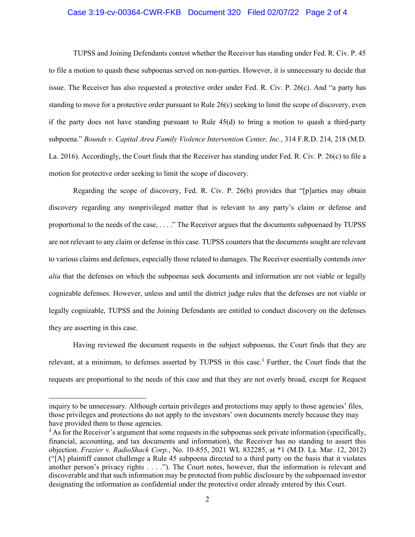#### Case 3:19-cv-00364-CWR-FKB Document 320 Filed 02/07/22 Page 2 of 4

TUPSS and Joining Defendants contest whether the Receiver has standing under Fed. R. Civ. P. 45 to file a motion to quash these subpoenas served on non-parties. However, it is unnecessary to decide that issue. The Receiver has also requested a protective order under Fed. R. Civ. P. 26(c). And "a party has standing to move for a protective order pursuant to Rule 26(c) seeking to limit the scope of discovery, even if the party does not have standing pursuant to Rule 45(d) to bring a motion to quash a third-party subpoena." *Bounds v. Capital Area Family Violence Intervention Center, Inc.*, 314 F.R.D. 214, 218 (M.D. La. 2016). Accordingly, the Court finds that the Receiver has standing under Fed. R. Civ. P. 26(c) to file a motion for protective order seeking to limit the scope of discovery.

Regarding the scope of discovery, Fed. R. Civ. P. 26(b) provides that "[p]arties may obtain discovery regarding any nonprivileged matter that is relevant to any party's claim or defense and proportional to the needs of the case, . . . ." The Receiver argues that the documents subpoenaed by TUPSS are not relevant to any claim or defense in this case. TUPSS counters that the documents sought are relevant to various claims and defenses, especially those related to damages. The Receiver essentially contends *inter alia* that the defenses on which the subpoenas seek documents and information are not viable or legally cognizable defenses. However, unless and until the district judge rules that the defenses are not viable or legally cognizable, TUPSS and the Joining Defendants are entitled to conduct discovery on the defenses they are asserting in this case.

Having reviewed the document requests in the subject subpoenas, the Court finds that they are relevant, at a minimum, to defenses asserted by TUPSS in this case.<sup>[3](#page-1-0)</sup> Further, the Court finds that the requests are proportional to the needs of this case and that they are not overly broad, except for Request

inquiry to be unnecessary. Although certain privileges and protections may apply to those agencies' files, those privileges and protections do not apply to the investors' own documents merely because they may have provided them to those agencies.

<span id="page-1-0"></span><sup>&</sup>lt;sup>3</sup> As for the Receiver's argument that some requests in the subpoenas seek private information (specifically, financial, accounting, and tax documents and information), the Receiver has no standing to assert this objection. *Frazier v. RadioShack Corp.*, No. 10-855, 2021 WL 832285, at \*1 (M.D. La. Mar. 12, 2012) ("[A] plaintiff cannot challenge a Rule 45 subpoena directed to a third party on the basis that it violates another person's privacy rights . . . ."). The Court notes, however, that the information is relevant and discoverable and that such information may be protected from public disclosure by the subpoenaed investor designating the information as confidential under the protective order already entered by this Court.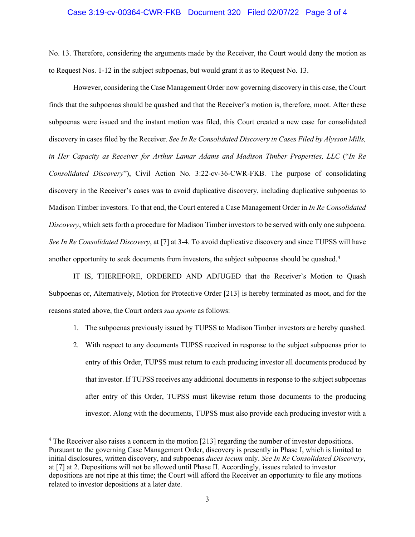#### Case 3:19-cv-00364-CWR-FKB Document 320 Filed 02/07/22 Page 3 of 4

No. 13. Therefore, considering the arguments made by the Receiver, the Court would deny the motion as to Request Nos. 1-12 in the subject subpoenas, but would grant it as to Request No. 13.

However, considering the Case Management Order now governing discovery in this case, the Court finds that the subpoenas should be quashed and that the Receiver's motion is, therefore, moot. After these subpoenas were issued and the instant motion was filed, this Court created a new case for consolidated discovery in cases filed by the Receiver. *See In Re Consolidated Discovery in Cases Filed by Alysson Mills, in Her Capacity as Receiver for Arthur Lamar Adams and Madison Timber Properties, LLC* ("*In Re Consolidated Discovery*"), Civil Action No. 3:22-cv-36-CWR-FKB. The purpose of consolidating discovery in the Receiver's cases was to avoid duplicative discovery, including duplicative subpoenas to Madison Timber investors. To that end, the Court entered a Case Management Order in *In Re Consolidated Discovery*, which sets forth a procedure for Madison Timber investors to be served with only one subpoena. *See In Re Consolidated Discovery*, at [7] at 3-4. To avoid duplicative discovery and since TUPSS will have another opportunity to seek documents from investors, the subject subpoenas should be quashed[.4](#page-2-0)

IT IS, THEREFORE, ORDERED AND ADJUGED that the Receiver's Motion to Quash Subpoenas or, Alternatively, Motion for Protective Order [213] is hereby terminated as moot, and for the reasons stated above, the Court orders *sua sponte* as follows:

- 1. The subpoenas previously issued by TUPSS to Madison Timber investors are hereby quashed.
- 2. With respect to any documents TUPSS received in response to the subject subpoenas prior to entry of this Order, TUPSS must return to each producing investor all documents produced by that investor. If TUPSS receives any additional documents in response to the subject subpoenas after entry of this Order, TUPSS must likewise return those documents to the producing investor. Along with the documents, TUPSS must also provide each producing investor with a

<span id="page-2-0"></span><sup>4</sup> The Receiver also raises a concern in the motion [213] regarding the number of investor depositions. Pursuant to the governing Case Management Order, discovery is presently in Phase I, which is limited to initial disclosures, written discovery, and subpoenas *duces tecum* only. *See In Re Consolidated Discovery*, at [7] at 2. Depositions will not be allowed until Phase II. Accordingly, issues related to investor depositions are not ripe at this time; the Court will afford the Receiver an opportunity to file any motions related to investor depositions at a later date.